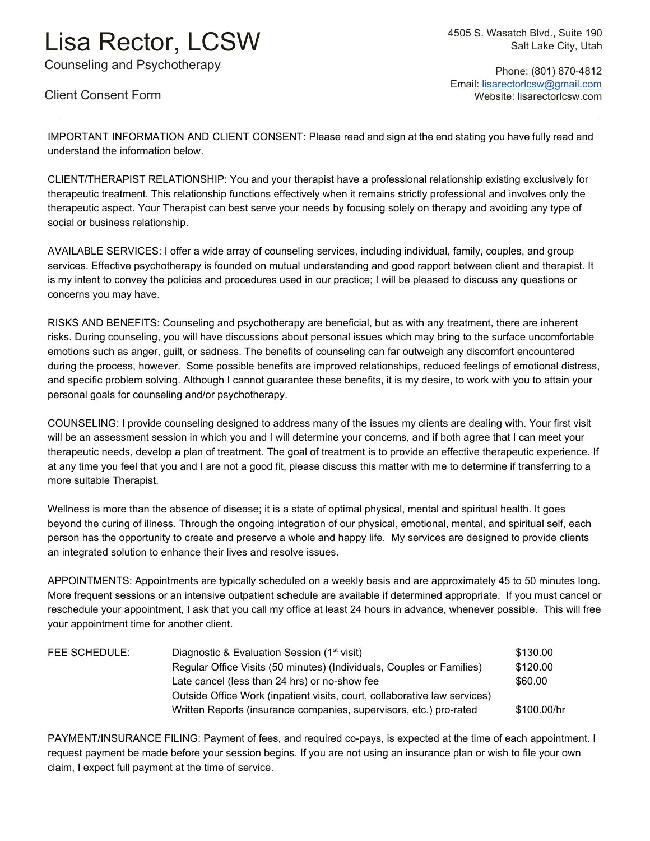## Lisa Rector, LCSW

Counseling and Psychotherapy

Client Consent Form

4505 S. Wasatch Blvd., Suite 190 Salt Lake City, Utah

 Phone: (801) 870-4812 Email: [lisarectorlcsw@gmail.com](mailto:lisarectorlcsw@gmail.com) Website: lisarectorlcsw.com

IMPORTANT INFORMATION AND CLIENT CONSENT: Please read and sign at the end stating you have fully read and understand the information below.

CLIENT/THERAPIST RELATIONSHIP: You and your therapist have a professional relationship existing exclusively for therapeutic treatment. This relationship functions effectively when it remains strictly professional and involves only the therapeutic aspect. Your Therapist can best serve your needs by focusing solely on therapy and avoiding any type of social or business relationship.

AVAILABLE SERVICES: I offer a wide array of counseling services, including individual, family, couples, and group services. Effective psychotherapy is founded on mutual understanding and good rapport between client and therapist. It is my intent to convey the policies and procedures used in our practice; I will be pleased to discuss any questions or concerns you may have.

RISKS AND BENEFITS: Counseling and psychotherapy are beneficial, but as with any treatment, there are inherent risks. During counseling, you will have discussions about personal issues which may bring to the surface uncomfortable emotions such as anger, guilt, or sadness. The benefits of counseling can far outweigh any discomfort encountered during the process, however. Some possible benefits are improved relationships, reduced feelings of emotional distress, and specific problem solving. Although I cannot guarantee these benefits, it is my desire, to work with you to attain your personal goals for counseling and/or psychotherapy.

COUNSELING: I provide counseling designed to address many of the issues my clients are dealing with. Your first visit will be an assessment session in which you and I will determine your concerns, and if both agree that I can meet your therapeutic needs, develop a plan of treatment. The goal of treatment is to provide an effective therapeutic experience. If at any time you feel that you and I are not a good fit, please discuss this matter with me to determine if transferring to a more suitable Therapist.

Wellness is more than the absence of disease; it is a state of optimal physical, mental and spiritual health. It goes beyond the curing of illness. Through the ongoing integration of our physical, emotional, mental, and spiritual self, each person has the opportunity to create and preserve a whole and happy life. My services are designed to provide clients an integrated solution to enhance their lives and resolve issues.

APPOINTMENTS: Appointments are typically scheduled on a weekly basis and are approximately 45 to 50 minutes long. More frequent sessions or an intensive outpatient schedule are available if determined appropriate. If you must cancel or reschedule your appointment, I ask that you call my office at least 24 hours in advance, whenever possible. This will free your appointment time for another client.

| FEE SCHEDULE: | Diagnostic & Evaluation Session (1 <sup>st</sup> visit)                   | \$130.00    |
|---------------|---------------------------------------------------------------------------|-------------|
|               | Regular Office Visits (50 minutes) (Individuals, Couples or Families)     | \$120.00    |
|               | Late cancel (less than 24 hrs) or no-show fee                             | \$60.00     |
|               | Outside Office Work (inpatient visits, court, collaborative law services) |             |
|               | Written Reports (insurance companies, supervisors, etc.) pro-rated        | \$100.00/hr |

PAYMENT/INSURANCE FILING: Payment of fees, and required co-pays, is expected at the time of each appointment. I request payment be made before your session begins. If you are not using an insurance plan or wish to file your own claim, I expect full payment at the time of service.